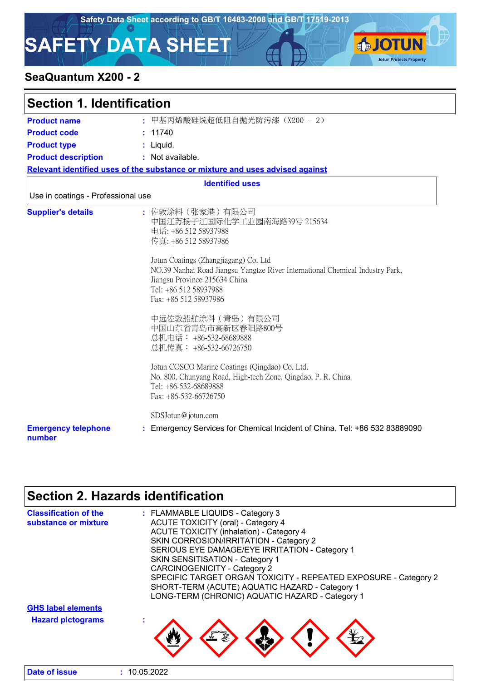**SJOTUN** 

**Jotun Protects Property** 

# **SAFETY DATA SHEET**

### **SeaQuantum X200 - 2**

| <b>Section 1. Identification</b>     |                                                                                                                                                                                                                                                                                                             |  |
|--------------------------------------|-------------------------------------------------------------------------------------------------------------------------------------------------------------------------------------------------------------------------------------------------------------------------------------------------------------|--|
| <b>Product name</b>                  | : 甲基丙烯酸硅烷超低阻自抛光防污漆 (X200 - 2)                                                                                                                                                                                                                                                                               |  |
| <b>Product code</b>                  | : 11740                                                                                                                                                                                                                                                                                                     |  |
| <b>Product type</b>                  | $:$ Liquid.                                                                                                                                                                                                                                                                                                 |  |
| <b>Product description</b>           | : Not available.                                                                                                                                                                                                                                                                                            |  |
|                                      | Relevant identified uses of the substance or mixture and uses advised against                                                                                                                                                                                                                               |  |
|                                      | <b>Identified uses</b>                                                                                                                                                                                                                                                                                      |  |
| Use in coatings - Professional use   |                                                                                                                                                                                                                                                                                                             |  |
| <b>Supplier's details</b>            | : 佐敦涂料(张家港)有限公司<br>中国江苏扬子江国际化学工业园南海路39号 215634<br>电话: +86 512 58937988<br>传真: +86 512 58937986<br>Jotun Coatings (Zhangjiagang) Co. Ltd<br>NO.39 Nanhai Road Jiangsu Yangtze River International Chemical Industry Park,<br>Jiangsu Province 215634 China<br>Tel: +86 512 58937988<br>Fax: +86 512 58937986 |  |
|                                      | 中远佐敦船舶涂料(青岛)有限公司<br>中国山东省青岛市高新区春阳路800号<br>总机电话: +86-532-68689888<br>总机传真: +86-532-66726750                                                                                                                                                                                                                  |  |
|                                      | Jotun COSCO Marine Coatings (Qingdao) Co. Ltd.<br>No. 800, Chunyang Road, High-tech Zone, Qingdao, P. R. China<br>Tel: +86-532-68689888<br>Fax: +86-532-66726750                                                                                                                                            |  |
|                                      | SDSJotun@jotun.com                                                                                                                                                                                                                                                                                          |  |
| <b>Emergency telephone</b><br>number | : Emergency Services for Chemical Incident of China. Tel: +86 532 83889090                                                                                                                                                                                                                                  |  |

# **Section 2. Hazards identification**

| <b>Classification of the</b><br>substance or mixture | : FLAMMABLE LIQUIDS - Category 3<br><b>ACUTE TOXICITY (oral) - Category 4</b><br><b>ACUTE TOXICITY (inhalation) - Category 4</b><br>SKIN CORROSION/IRRITATION - Category 2<br>SERIOUS EYE DAMAGE/EYE IRRITATION - Category 1<br><b>SKIN SENSITISATION - Category 1</b><br><b>CARCINOGENICITY - Category 2</b><br>SPECIFIC TARGET ORGAN TOXICITY - REPEATED EXPOSURE - Category 2 |
|------------------------------------------------------|----------------------------------------------------------------------------------------------------------------------------------------------------------------------------------------------------------------------------------------------------------------------------------------------------------------------------------------------------------------------------------|
| <b>GHS label elements</b>                            | SHORT-TERM (ACUTE) AQUATIC HAZARD - Category 1<br>LONG-TERM (CHRONIC) AQUATIC HAZARD - Category 1                                                                                                                                                                                                                                                                                |
| <b>Hazard pictograms</b>                             |                                                                                                                                                                                                                                                                                                                                                                                  |
| Date of issue                                        | 10.05.2022                                                                                                                                                                                                                                                                                                                                                                       |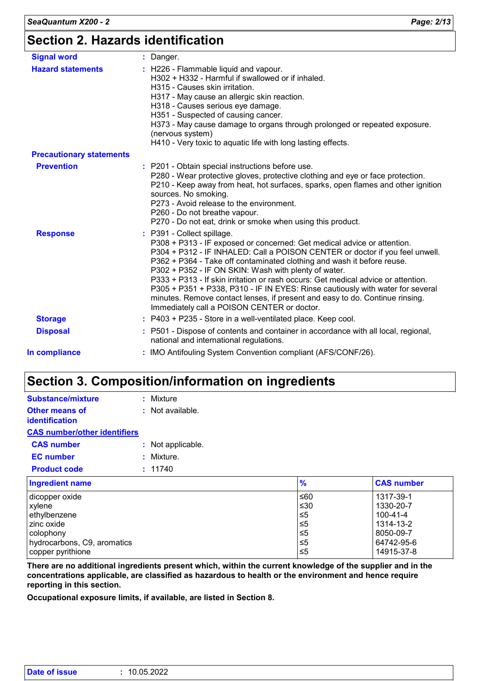| <b>Signal word</b>              | : Danger.                                                                                                                                                                                                                                                                                                                                                                                                                                                                                                                                                                                                                     |
|---------------------------------|-------------------------------------------------------------------------------------------------------------------------------------------------------------------------------------------------------------------------------------------------------------------------------------------------------------------------------------------------------------------------------------------------------------------------------------------------------------------------------------------------------------------------------------------------------------------------------------------------------------------------------|
| <b>Hazard statements</b>        | : H226 - Flammable liquid and vapour.<br>H302 + H332 - Harmful if swallowed or if inhaled.<br>H315 - Causes skin irritation.<br>H317 - May cause an allergic skin reaction.<br>H318 - Causes serious eye damage.<br>H351 - Suspected of causing cancer.<br>H373 - May cause damage to organs through prolonged or repeated exposure.<br>(nervous system)<br>H410 - Very toxic to aquatic life with long lasting effects.                                                                                                                                                                                                      |
| <b>Precautionary statements</b> |                                                                                                                                                                                                                                                                                                                                                                                                                                                                                                                                                                                                                               |
| <b>Prevention</b>               | : P201 - Obtain special instructions before use.<br>P280 - Wear protective gloves, protective clothing and eye or face protection.<br>P210 - Keep away from heat, hot surfaces, sparks, open flames and other ignition<br>sources. No smoking.<br>P273 - Avoid release to the environment.<br>P260 - Do not breathe vapour.<br>P270 - Do not eat, drink or smoke when using this product.                                                                                                                                                                                                                                     |
| <b>Response</b>                 | : P391 - Collect spillage.<br>P308 + P313 - IF exposed or concerned: Get medical advice or attention.<br>P304 + P312 - IF INHALED: Call a POISON CENTER or doctor if you feel unwell.<br>P362 + P364 - Take off contaminated clothing and wash it before reuse.<br>P302 + P352 - IF ON SKIN: Wash with plenty of water.<br>P333 + P313 - If skin irritation or rash occurs: Get medical advice or attention.<br>P305 + P351 + P338, P310 - IF IN EYES: Rinse cautiously with water for several<br>minutes. Remove contact lenses, if present and easy to do. Continue rinsing.<br>Immediately call a POISON CENTER or doctor. |
| <b>Storage</b>                  | : P403 + P235 - Store in a well-ventilated place. Keep cool.                                                                                                                                                                                                                                                                                                                                                                                                                                                                                                                                                                  |
| <b>Disposal</b>                 | : P501 - Dispose of contents and container in accordance with all local, regional,<br>national and international regulations.                                                                                                                                                                                                                                                                                                                                                                                                                                                                                                 |
| In compliance                   | : IMO Antifouling System Convention compliant (AFS/CONF/26).                                                                                                                                                                                                                                                                                                                                                                                                                                                                                                                                                                  |
|                                 |                                                                                                                                                                                                                                                                                                                                                                                                                                                                                                                                                                                                                               |

### **Section 3. Composition/information on ingredients**

| Substance/mixture                       | : Mixture          |
|-----------------------------------------|--------------------|
| <b>Other means of</b><br>identification | $:$ Not available. |
| <b>CAS number/other identifiers</b>     |                    |
| <b>CAS number</b>                       | : Not applicable.  |
| <b>EC</b> number                        | : Mixture.         |
| <b>Product code</b>                     | : 11740            |
| والمستحدث القامر والاقتراب والمتحدث     |                    |

| Ingredient name             | $\frac{9}{6}$ | <b>CAS number</b> |
|-----------------------------|---------------|-------------------|
| I dicopper oxide            | ≤60           | 1317-39-1         |
| xylene                      | ≤30           | 1330-20-7         |
| ethylbenzene                | $\leq 5$      | 100-41-4          |
| zinc oxide                  | ≤5            | 1314-13-2         |
| colophony                   | 5≥ا           | 8050-09-7         |
| hydrocarbons, C9, aromatics | 5≥ا           | 64742-95-6        |
| copper pyrithione           | 5≤ا           | 14915-37-8        |

**There are no additional ingredients present which, within the current knowledge of the supplier and in the concentrations applicable, are classified as hazardous to health or the environment and hence require reporting in this section.**

**Occupational exposure limits, if available, are listed in Section 8.**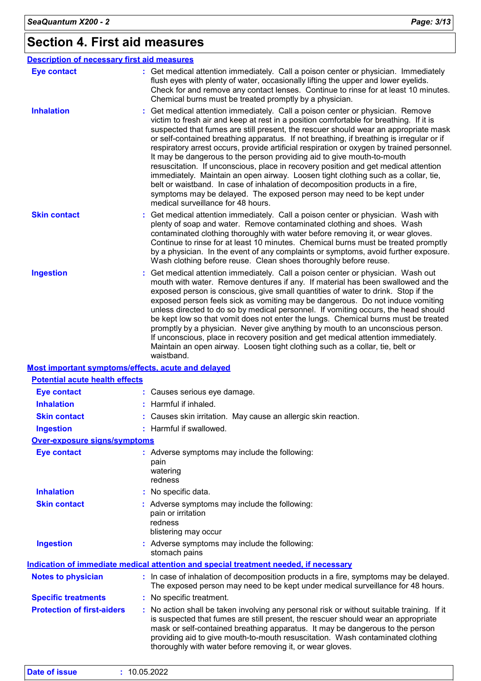# **Section 4. First aid measures**

| <b>Description of necessary first aid measures</b> |                                                                                                                                                                                                                                                                                                                                                                                                                                                                                                                                                                                                                                                                                                                                                                                                                                                                                                               |
|----------------------------------------------------|---------------------------------------------------------------------------------------------------------------------------------------------------------------------------------------------------------------------------------------------------------------------------------------------------------------------------------------------------------------------------------------------------------------------------------------------------------------------------------------------------------------------------------------------------------------------------------------------------------------------------------------------------------------------------------------------------------------------------------------------------------------------------------------------------------------------------------------------------------------------------------------------------------------|
| <b>Eye contact</b>                                 | : Get medical attention immediately. Call a poison center or physician. Immediately<br>flush eyes with plenty of water, occasionally lifting the upper and lower eyelids.<br>Check for and remove any contact lenses. Continue to rinse for at least 10 minutes.<br>Chemical burns must be treated promptly by a physician.                                                                                                                                                                                                                                                                                                                                                                                                                                                                                                                                                                                   |
| <b>Inhalation</b>                                  | Get medical attention immediately. Call a poison center or physician. Remove<br>victim to fresh air and keep at rest in a position comfortable for breathing. If it is<br>suspected that fumes are still present, the rescuer should wear an appropriate mask<br>or self-contained breathing apparatus. If not breathing, if breathing is irregular or if<br>respiratory arrest occurs, provide artificial respiration or oxygen by trained personnel.<br>It may be dangerous to the person providing aid to give mouth-to-mouth<br>resuscitation. If unconscious, place in recovery position and get medical attention<br>immediately. Maintain an open airway. Loosen tight clothing such as a collar, tie,<br>belt or waistband. In case of inhalation of decomposition products in a fire,<br>symptoms may be delayed. The exposed person may need to be kept under<br>medical surveillance for 48 hours. |
| <b>Skin contact</b>                                | Get medical attention immediately. Call a poison center or physician. Wash with<br>plenty of soap and water. Remove contaminated clothing and shoes. Wash<br>contaminated clothing thoroughly with water before removing it, or wear gloves.<br>Continue to rinse for at least 10 minutes. Chemical burns must be treated promptly<br>by a physician. In the event of any complaints or symptoms, avoid further exposure.<br>Wash clothing before reuse. Clean shoes thoroughly before reuse.                                                                                                                                                                                                                                                                                                                                                                                                                 |
| <b>Ingestion</b>                                   | Get medical attention immediately. Call a poison center or physician. Wash out<br>mouth with water. Remove dentures if any. If material has been swallowed and the<br>exposed person is conscious, give small quantities of water to drink. Stop if the<br>exposed person feels sick as vomiting may be dangerous. Do not induce vomiting<br>unless directed to do so by medical personnel. If vomiting occurs, the head should<br>be kept low so that vomit does not enter the lungs. Chemical burns must be treated<br>promptly by a physician. Never give anything by mouth to an unconscious person.<br>If unconscious, place in recovery position and get medical attention immediately.<br>Maintain an open airway. Loosen tight clothing such as a collar, tie, belt or<br>waistband.                                                                                                                  |
| Most important symptoms/effects, acute and delayed |                                                                                                                                                                                                                                                                                                                                                                                                                                                                                                                                                                                                                                                                                                                                                                                                                                                                                                               |
| <b>Potential acute health effects</b>              |                                                                                                                                                                                                                                                                                                                                                                                                                                                                                                                                                                                                                                                                                                                                                                                                                                                                                                               |
| <b>Eye contact</b>                                 | : Causes serious eye damage.                                                                                                                                                                                                                                                                                                                                                                                                                                                                                                                                                                                                                                                                                                                                                                                                                                                                                  |
| <b>Inhalation</b>                                  | : Harmful if inhaled.                                                                                                                                                                                                                                                                                                                                                                                                                                                                                                                                                                                                                                                                                                                                                                                                                                                                                         |
| <b>Skin contact</b>                                | : Causes skin irritation. May cause an allergic skin reaction.                                                                                                                                                                                                                                                                                                                                                                                                                                                                                                                                                                                                                                                                                                                                                                                                                                                |
| <b>Ingestion</b>                                   | : Harmful if swallowed.                                                                                                                                                                                                                                                                                                                                                                                                                                                                                                                                                                                                                                                                                                                                                                                                                                                                                       |
| <b>Over-exposure signs/symptoms</b>                |                                                                                                                                                                                                                                                                                                                                                                                                                                                                                                                                                                                                                                                                                                                                                                                                                                                                                                               |
| <b>Eye contact</b>                                 | : Adverse symptoms may include the following:<br>pain<br>watering<br>redness                                                                                                                                                                                                                                                                                                                                                                                                                                                                                                                                                                                                                                                                                                                                                                                                                                  |
| <b>Inhalation</b>                                  | No specific data.                                                                                                                                                                                                                                                                                                                                                                                                                                                                                                                                                                                                                                                                                                                                                                                                                                                                                             |
| <b>Skin contact</b>                                | : Adverse symptoms may include the following:<br>pain or irritation<br>redness<br>blistering may occur                                                                                                                                                                                                                                                                                                                                                                                                                                                                                                                                                                                                                                                                                                                                                                                                        |
| <b>Ingestion</b>                                   | : Adverse symptoms may include the following:<br>stomach pains                                                                                                                                                                                                                                                                                                                                                                                                                                                                                                                                                                                                                                                                                                                                                                                                                                                |
|                                                    | Indication of immediate medical attention and special treatment needed, if necessary                                                                                                                                                                                                                                                                                                                                                                                                                                                                                                                                                                                                                                                                                                                                                                                                                          |
| <b>Notes to physician</b>                          | : In case of inhalation of decomposition products in a fire, symptoms may be delayed.<br>The exposed person may need to be kept under medical surveillance for 48 hours.                                                                                                                                                                                                                                                                                                                                                                                                                                                                                                                                                                                                                                                                                                                                      |
| <b>Specific treatments</b>                         | : No specific treatment.                                                                                                                                                                                                                                                                                                                                                                                                                                                                                                                                                                                                                                                                                                                                                                                                                                                                                      |
| <b>Protection of first-aiders</b>                  | : No action shall be taken involving any personal risk or without suitable training. If it<br>is suspected that fumes are still present, the rescuer should wear an appropriate<br>mask or self-contained breathing apparatus. It may be dangerous to the person<br>providing aid to give mouth-to-mouth resuscitation. Wash contaminated clothing                                                                                                                                                                                                                                                                                                                                                                                                                                                                                                                                                            |

thoroughly with water before removing it, or wear gloves.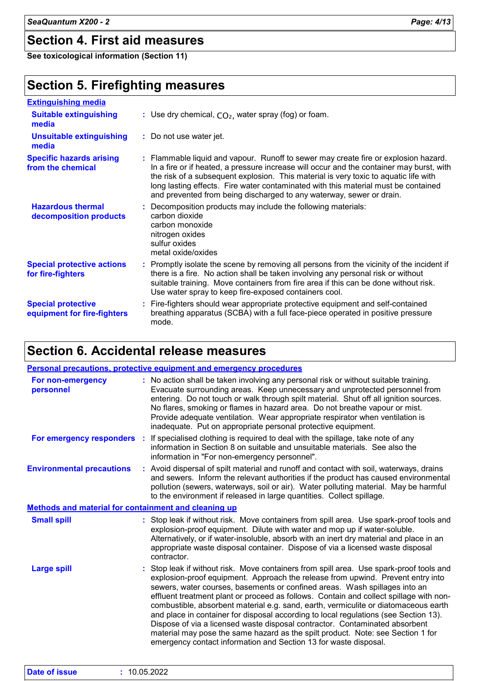### **Section 4. First aid measures**

**See toxicological information (Section 11)**

### **Section 5. Firefighting measures**

| <b>Extinguishing media</b>                               |                                                                                                                                                                                                                                                                                                                                                                                                                                       |
|----------------------------------------------------------|---------------------------------------------------------------------------------------------------------------------------------------------------------------------------------------------------------------------------------------------------------------------------------------------------------------------------------------------------------------------------------------------------------------------------------------|
| <b>Suitable extinguishing</b><br>media                   | : Use dry chemical, $CO2$ , water spray (fog) or foam.                                                                                                                                                                                                                                                                                                                                                                                |
| <b>Unsuitable extinguishing</b><br>media                 | : Do not use water jet.                                                                                                                                                                                                                                                                                                                                                                                                               |
| <b>Specific hazards arising</b><br>from the chemical     | : Flammable liquid and vapour. Runoff to sewer may create fire or explosion hazard.<br>In a fire or if heated, a pressure increase will occur and the container may burst, with<br>the risk of a subsequent explosion. This material is very toxic to aquatic life with<br>long lasting effects. Fire water contaminated with this material must be contained<br>and prevented from being discharged to any waterway, sewer or drain. |
| <b>Hazardous thermal</b><br>decomposition products       | : Decomposition products may include the following materials:<br>carbon dioxide<br>carbon monoxide<br>nitrogen oxides<br>sulfur oxides<br>metal oxide/oxides                                                                                                                                                                                                                                                                          |
| <b>Special protective actions</b><br>for fire-fighters   | : Promptly isolate the scene by removing all persons from the vicinity of the incident if<br>there is a fire. No action shall be taken involving any personal risk or without<br>suitable training. Move containers from fire area if this can be done without risk.<br>Use water spray to keep fire-exposed containers cool.                                                                                                         |
| <b>Special protective</b><br>equipment for fire-fighters | : Fire-fighters should wear appropriate protective equipment and self-contained<br>breathing apparatus (SCBA) with a full face-piece operated in positive pressure<br>mode.                                                                                                                                                                                                                                                           |

### **Section 6. Accidental release measures**

|                                                             | <b>Personal precautions, protective equipment and emergency procedures</b>                                                                                                                                                                                                                                                                                                                                                                                                                                                                                                                                                                                                                                                                                              |
|-------------------------------------------------------------|-------------------------------------------------------------------------------------------------------------------------------------------------------------------------------------------------------------------------------------------------------------------------------------------------------------------------------------------------------------------------------------------------------------------------------------------------------------------------------------------------------------------------------------------------------------------------------------------------------------------------------------------------------------------------------------------------------------------------------------------------------------------------|
| For non-emergency<br>personnel                              | : No action shall be taken involving any personal risk or without suitable training.<br>Evacuate surrounding areas. Keep unnecessary and unprotected personnel from<br>entering. Do not touch or walk through spilt material. Shut off all ignition sources.<br>No flares, smoking or flames in hazard area. Do not breathe vapour or mist.<br>Provide adequate ventilation. Wear appropriate respirator when ventilation is<br>inadequate. Put on appropriate personal protective equipment.                                                                                                                                                                                                                                                                           |
|                                                             | For emergency responders : If specialised clothing is required to deal with the spillage, take note of any<br>information in Section 8 on suitable and unsuitable materials. See also the<br>information in "For non-emergency personnel".                                                                                                                                                                                                                                                                                                                                                                                                                                                                                                                              |
| <b>Environmental precautions</b>                            | : Avoid dispersal of spilt material and runoff and contact with soil, waterways, drains<br>and sewers. Inform the relevant authorities if the product has caused environmental<br>pollution (sewers, waterways, soil or air). Water polluting material. May be harmful<br>to the environment if released in large quantities. Collect spillage.                                                                                                                                                                                                                                                                                                                                                                                                                         |
| <b>Methods and material for containment and cleaning up</b> |                                                                                                                                                                                                                                                                                                                                                                                                                                                                                                                                                                                                                                                                                                                                                                         |
| <b>Small spill</b>                                          | : Stop leak if without risk. Move containers from spill area. Use spark-proof tools and<br>explosion-proof equipment. Dilute with water and mop up if water-soluble.<br>Alternatively, or if water-insoluble, absorb with an inert dry material and place in an<br>appropriate waste disposal container. Dispose of via a licensed waste disposal<br>contractor.                                                                                                                                                                                                                                                                                                                                                                                                        |
| <b>Large spill</b>                                          | : Stop leak if without risk. Move containers from spill area. Use spark-proof tools and<br>explosion-proof equipment. Approach the release from upwind. Prevent entry into<br>sewers, water courses, basements or confined areas. Wash spillages into an<br>effluent treatment plant or proceed as follows. Contain and collect spillage with non-<br>combustible, absorbent material e.g. sand, earth, vermiculite or diatomaceous earth<br>and place in container for disposal according to local regulations (see Section 13).<br>Dispose of via a licensed waste disposal contractor. Contaminated absorbent<br>material may pose the same hazard as the spilt product. Note: see Section 1 for<br>emergency contact information and Section 13 for waste disposal. |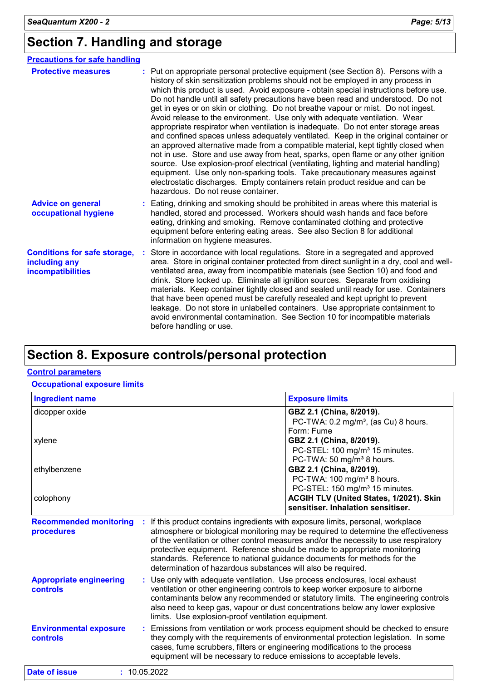### **Section 7. Handling and storage**

| <b>Precautions for safe handling</b>                                      |                                                                                                                                                                                                                                                                                                                                                                                                                                                                                                                                                                                                                                                                                                                                                                                                                                                                                                                                                                                                                                                                                                                                                                          |
|---------------------------------------------------------------------------|--------------------------------------------------------------------------------------------------------------------------------------------------------------------------------------------------------------------------------------------------------------------------------------------------------------------------------------------------------------------------------------------------------------------------------------------------------------------------------------------------------------------------------------------------------------------------------------------------------------------------------------------------------------------------------------------------------------------------------------------------------------------------------------------------------------------------------------------------------------------------------------------------------------------------------------------------------------------------------------------------------------------------------------------------------------------------------------------------------------------------------------------------------------------------|
| <b>Protective measures</b>                                                | : Put on appropriate personal protective equipment (see Section 8). Persons with a<br>history of skin sensitization problems should not be employed in any process in<br>which this product is used. Avoid exposure - obtain special instructions before use.<br>Do not handle until all safety precautions have been read and understood. Do not<br>get in eyes or on skin or clothing. Do not breathe vapour or mist. Do not ingest.<br>Avoid release to the environment. Use only with adequate ventilation. Wear<br>appropriate respirator when ventilation is inadequate. Do not enter storage areas<br>and confined spaces unless adequately ventilated. Keep in the original container or<br>an approved alternative made from a compatible material, kept tightly closed when<br>not in use. Store and use away from heat, sparks, open flame or any other ignition<br>source. Use explosion-proof electrical (ventilating, lighting and material handling)<br>equipment. Use only non-sparking tools. Take precautionary measures against<br>electrostatic discharges. Empty containers retain product residue and can be<br>hazardous. Do not reuse container. |
| <b>Advice on general</b><br>occupational hygiene                          | : Eating, drinking and smoking should be prohibited in areas where this material is<br>handled, stored and processed. Workers should wash hands and face before<br>eating, drinking and smoking. Remove contaminated clothing and protective<br>equipment before entering eating areas. See also Section 8 for additional<br>information on hygiene measures.                                                                                                                                                                                                                                                                                                                                                                                                                                                                                                                                                                                                                                                                                                                                                                                                            |
| <b>Conditions for safe storage,</b><br>including any<br>incompatibilities | Store in accordance with local regulations. Store in a segregated and approved<br>area. Store in original container protected from direct sunlight in a dry, cool and well-<br>ventilated area, away from incompatible materials (see Section 10) and food and<br>drink. Store locked up. Eliminate all ignition sources. Separate from oxidising<br>materials. Keep container tightly closed and sealed until ready for use. Containers<br>that have been opened must be carefully resealed and kept upright to prevent<br>leakage. Do not store in unlabelled containers. Use appropriate containment to<br>avoid environmental contamination. See Section 10 for incompatible materials<br>before handling or use.                                                                                                                                                                                                                                                                                                                                                                                                                                                    |

### **Section 8. Exposure controls/personal protection**

#### **Control parameters**

#### **Occupational exposure limits**

| <b>Ingredient name</b>                      |                                                                                                                                                                                                                                                                                                                                                                                                                                                                                     | <b>Exposure limits</b>                                                                                                                                                   |
|---------------------------------------------|-------------------------------------------------------------------------------------------------------------------------------------------------------------------------------------------------------------------------------------------------------------------------------------------------------------------------------------------------------------------------------------------------------------------------------------------------------------------------------------|--------------------------------------------------------------------------------------------------------------------------------------------------------------------------|
| dicopper oxide                              |                                                                                                                                                                                                                                                                                                                                                                                                                                                                                     | GBZ 2.1 (China, 8/2019).<br>PC-TWA: 0.2 mg/m <sup>3</sup> , (as Cu) 8 hours.<br>Form: Fume                                                                               |
| xylene                                      |                                                                                                                                                                                                                                                                                                                                                                                                                                                                                     | GBZ 2.1 (China, 8/2019).<br>PC-STEL: 100 mg/m <sup>3</sup> 15 minutes.<br>PC-TWA: 50 mg/m <sup>3</sup> 8 hours.                                                          |
| ethylbenzene                                |                                                                                                                                                                                                                                                                                                                                                                                                                                                                                     | GBZ 2.1 (China, 8/2019).<br>PC-TWA: 100 mg/m <sup>3</sup> 8 hours.<br>PC-STEL: 150 mg/m <sup>3</sup> 15 minutes.                                                         |
| colophony                                   |                                                                                                                                                                                                                                                                                                                                                                                                                                                                                     | ACGIH TLV (United States, 1/2021). Skin<br>sensitiser. Inhalation sensitiser.                                                                                            |
| <b>Recommended monitoring</b><br>procedures | If this product contains ingredients with exposure limits, personal, workplace<br>atmosphere or biological monitoring may be required to determine the effectiveness<br>of the ventilation or other control measures and/or the necessity to use respiratory<br>protective equipment. Reference should be made to appropriate monitoring<br>standards. Reference to national guidance documents for methods for the<br>determination of hazardous substances will also be required. |                                                                                                                                                                          |
| <b>Appropriate engineering</b><br>controls  | : Use only with adequate ventilation. Use process enclosures, local exhaust<br>ventilation or other engineering controls to keep worker exposure to airborne<br>contaminants below any recommended or statutory limits. The engineering controls<br>also need to keep gas, vapour or dust concentrations below any lower explosive<br>limits. Use explosion-proof ventilation equipment.                                                                                            |                                                                                                                                                                          |
| <b>Environmental exposure</b><br>controls   | cases, fume scrubbers, filters or engineering modifications to the process                                                                                                                                                                                                                                                                                                                                                                                                          | : Emissions from ventilation or work process equipment should be checked to ensure<br>they comply with the requirements of environmental protection legislation. In some |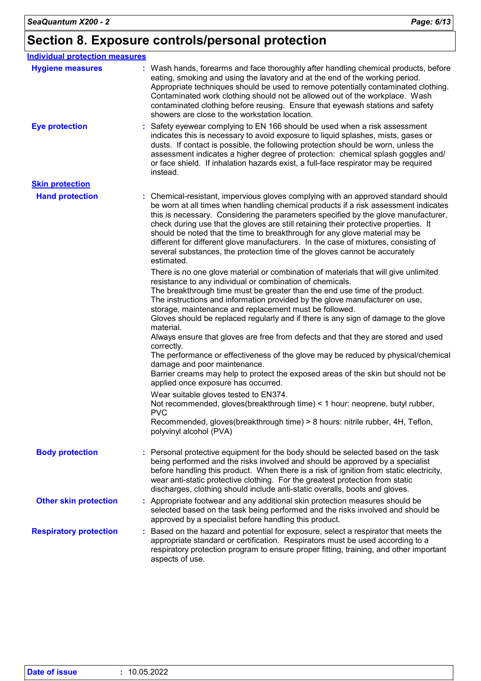### **Section 8. Exposure controls/personal protection**

| <b>Individual protection measures</b> |                                                                                                                                                                                                                                                                                                                                                                                                                                                                                                                                                                                                                                                                                                                                                                                                                                   |
|---------------------------------------|-----------------------------------------------------------------------------------------------------------------------------------------------------------------------------------------------------------------------------------------------------------------------------------------------------------------------------------------------------------------------------------------------------------------------------------------------------------------------------------------------------------------------------------------------------------------------------------------------------------------------------------------------------------------------------------------------------------------------------------------------------------------------------------------------------------------------------------|
| <b>Hygiene measures</b>               | : Wash hands, forearms and face thoroughly after handling chemical products, before<br>eating, smoking and using the lavatory and at the end of the working period.<br>Appropriate techniques should be used to remove potentially contaminated clothing.<br>Contaminated work clothing should not be allowed out of the workplace. Wash<br>contaminated clothing before reusing. Ensure that eyewash stations and safety<br>showers are close to the workstation location.                                                                                                                                                                                                                                                                                                                                                       |
| <b>Eye protection</b>                 | Safety eyewear complying to EN 166 should be used when a risk assessment<br>indicates this is necessary to avoid exposure to liquid splashes, mists, gases or<br>dusts. If contact is possible, the following protection should be worn, unless the<br>assessment indicates a higher degree of protection: chemical splash goggles and/<br>or face shield. If inhalation hazards exist, a full-face respirator may be required<br>instead.                                                                                                                                                                                                                                                                                                                                                                                        |
| <b>Skin protection</b>                |                                                                                                                                                                                                                                                                                                                                                                                                                                                                                                                                                                                                                                                                                                                                                                                                                                   |
| <b>Hand protection</b>                | : Chemical-resistant, impervious gloves complying with an approved standard should<br>be worn at all times when handling chemical products if a risk assessment indicates<br>this is necessary. Considering the parameters specified by the glove manufacturer,<br>check during use that the gloves are still retaining their protective properties. It<br>should be noted that the time to breakthrough for any glove material may be<br>different for different glove manufacturers. In the case of mixtures, consisting of<br>several substances, the protection time of the gloves cannot be accurately<br>estimated.                                                                                                                                                                                                         |
|                                       | There is no one glove material or combination of materials that will give unlimited<br>resistance to any individual or combination of chemicals.<br>The breakthrough time must be greater than the end use time of the product.<br>The instructions and information provided by the glove manufacturer on use,<br>storage, maintenance and replacement must be followed.<br>Gloves should be replaced regularly and if there is any sign of damage to the glove<br>material.<br>Always ensure that gloves are free from defects and that they are stored and used<br>correctly.<br>The performance or effectiveness of the glove may be reduced by physical/chemical<br>damage and poor maintenance.<br>Barrier creams may help to protect the exposed areas of the skin but should not be<br>applied once exposure has occurred. |
|                                       | Wear suitable gloves tested to EN374.<br>Not recommended, gloves (breakthrough time) < 1 hour: neoprene, butyl rubber,<br><b>PVC</b><br>Recommended, gloves(breakthrough time) > 8 hours: nitrile rubber, 4H, Teflon,<br>polyvinyl alcohol (PVA)                                                                                                                                                                                                                                                                                                                                                                                                                                                                                                                                                                                  |
| <b>Body protection</b>                | : Personal protective equipment for the body should be selected based on the task<br>being performed and the risks involved and should be approved by a specialist<br>before handling this product. When there is a risk of ignition from static electricity,<br>wear anti-static protective clothing. For the greatest protection from static<br>discharges, clothing should include anti-static overalls, boots and gloves.                                                                                                                                                                                                                                                                                                                                                                                                     |
| <b>Other skin protection</b>          | : Appropriate footwear and any additional skin protection measures should be<br>selected based on the task being performed and the risks involved and should be<br>approved by a specialist before handling this product.                                                                                                                                                                                                                                                                                                                                                                                                                                                                                                                                                                                                         |
| <b>Respiratory protection</b>         | : Based on the hazard and potential for exposure, select a respirator that meets the<br>appropriate standard or certification. Respirators must be used according to a<br>respiratory protection program to ensure proper fitting, training, and other important<br>aspects of use.                                                                                                                                                                                                                                                                                                                                                                                                                                                                                                                                               |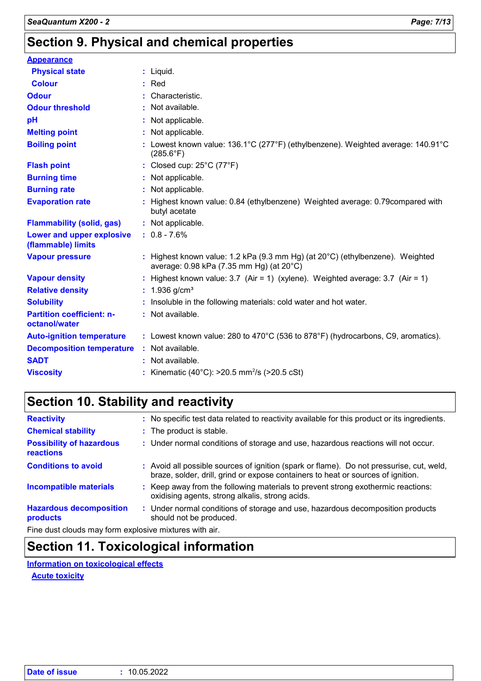### **Section 9. Physical and chemical properties**

| <b>Appearance</b>                                 |                                                                                                                                     |
|---------------------------------------------------|-------------------------------------------------------------------------------------------------------------------------------------|
| <b>Physical state</b>                             | $:$ Liquid.                                                                                                                         |
| <b>Colour</b>                                     | $:$ Red                                                                                                                             |
| <b>Odour</b>                                      | : Characteristic.                                                                                                                   |
| <b>Odour threshold</b>                            | : Not available.                                                                                                                    |
| рH                                                | : Not applicable.                                                                                                                   |
| <b>Melting point</b>                              | : Not applicable.                                                                                                                   |
| <b>Boiling point</b>                              | : Lowest known value: 136.1°C (277°F) (ethylbenzene). Weighted average: 140.91°C<br>$(285.6^{\circ}F)$                              |
| <b>Flash point</b>                                | : Closed cup: $25^{\circ}$ C (77 $^{\circ}$ F)                                                                                      |
| <b>Burning time</b>                               | : Not applicable.                                                                                                                   |
| <b>Burning rate</b>                               | : Not applicable.                                                                                                                   |
| <b>Evaporation rate</b>                           | : Highest known value: 0.84 (ethylbenzene) Weighted average: 0.79 compared with<br>butyl acetate                                    |
| <b>Flammability (solid, gas)</b>                  | : Not applicable.                                                                                                                   |
| Lower and upper explosive<br>(flammable) limits   | $: 0.8 - 7.6\%$                                                                                                                     |
| <b>Vapour pressure</b>                            | : Highest known value: 1.2 kPa (9.3 mm Hg) (at $20^{\circ}$ C) (ethylbenzene). Weighted<br>average: 0.98 kPa (7.35 mm Hg) (at 20°C) |
| <b>Vapour density</b>                             | : Highest known value: $3.7$ (Air = 1) (xylene). Weighted average: $3.7$ (Air = 1)                                                  |
| <b>Relative density</b>                           | : $1.936$ g/cm <sup>3</sup>                                                                                                         |
| <b>Solubility</b>                                 | : Insoluble in the following materials: cold water and hot water.                                                                   |
| <b>Partition coefficient: n-</b><br>octanol/water | : Not available.                                                                                                                    |
| <b>Auto-ignition temperature</b>                  | : Lowest known value: 280 to $470^{\circ}$ C (536 to 878 $^{\circ}$ F) (hydrocarbons, C9, aromatics).                               |
| <b>Decomposition temperature</b>                  | : Not available.                                                                                                                    |
| <b>SADT</b>                                       | : Not available.                                                                                                                    |
| <b>Viscosity</b>                                  | : Kinematic (40°C): >20.5 mm <sup>2</sup> /s (>20.5 cSt)                                                                            |
|                                                   |                                                                                                                                     |

### **Section 10. Stability and reactivity**

| <b>Reactivity</b>                                      | : No specific test data related to reactivity available for this product or its ingredients.                                                                                 |
|--------------------------------------------------------|------------------------------------------------------------------------------------------------------------------------------------------------------------------------------|
| <b>Chemical stability</b>                              | : The product is stable.                                                                                                                                                     |
| <b>Possibility of hazardous</b><br>reactions           | : Under normal conditions of storage and use, hazardous reactions will not occur.                                                                                            |
| <b>Conditions to avoid</b>                             | : Avoid all possible sources of ignition (spark or flame). Do not pressurise, cut, weld,<br>braze, solder, drill, grind or expose containers to heat or sources of ignition. |
| <b>Incompatible materials</b>                          | : Keep away from the following materials to prevent strong exothermic reactions:<br>oxidising agents, strong alkalis, strong acids.                                          |
| <b>Hazardous decomposition</b><br>products             | : Under normal conditions of storage and use, hazardous decomposition products<br>should not be produced.                                                                    |
| Fine dust clouds moy form evaluative mixtures with oir |                                                                                                                                                                              |

Fine dust clouds may form explosive mixtures with air.

### **Section 11. Toxicological information**

**Information on toxicological effects**

**Acute toxicity**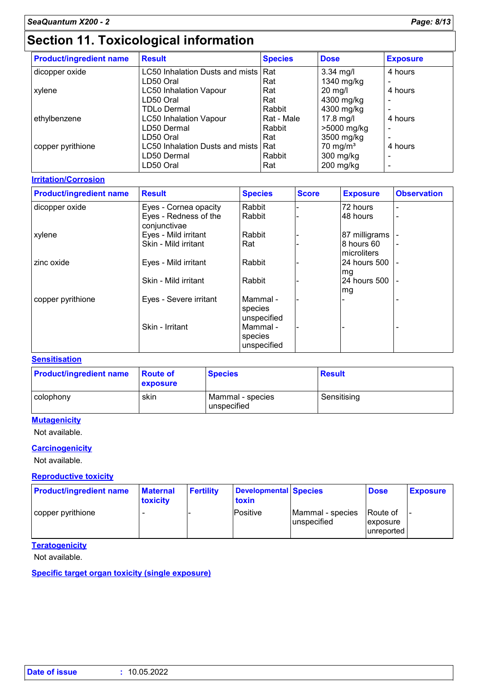# **Section 11. Toxicological information**

| <b>Product/ingredient name</b> | <b>Result</b>                         | <b>Species</b> | <b>Dose</b>         | <b>Exposure</b> |
|--------------------------------|---------------------------------------|----------------|---------------------|-----------------|
| dicopper oxide                 | LC50 Inhalation Dusts and mists   Rat |                | $3.34$ mg/l         | 4 hours         |
|                                | LD50 Oral                             | Rat            | 1340 mg/kg          |                 |
| xylene                         | <b>LC50 Inhalation Vapour</b>         | Rat            | $20$ mg/l           | 4 hours         |
|                                | LD50 Oral                             | Rat            | 4300 mg/kg          |                 |
|                                | <b>TDLo Dermal</b>                    | Rabbit         | 4300 mg/kg          |                 |
| ethylbenzene                   | <b>LC50 Inhalation Vapour</b>         | Rat - Male     | $17.8$ mg/l         | 4 hours         |
|                                | LD50 Dermal                           | Rabbit         | >5000 mg/kg         |                 |
|                                | LD50 Oral                             | Rat            | 3500 mg/kg          |                 |
| copper pyrithione              | LC50 Inhalation Dusts and mists Rat   |                | $70 \text{ mg/m}^3$ | 4 hours         |
|                                | LD50 Dermal                           | Rabbit         | 300 mg/kg           |                 |
|                                | LD50 Oral                             | Rat            | $200$ mg/kg         |                 |

#### **Irritation/Corrosion**

| <b>Product/ingredient name</b> | <b>Result</b>                         | <b>Species</b>                     | <b>Score</b> | <b>Exposure</b>           | <b>Observation</b> |
|--------------------------------|---------------------------------------|------------------------------------|--------------|---------------------------|--------------------|
| dicopper oxide                 | Eyes - Cornea opacity                 | Rabbit                             |              | 72 hours                  |                    |
|                                | Eyes - Redness of the<br>conjunctivae | Rabbit                             |              | 48 hours                  |                    |
| xylene                         | Eyes - Mild irritant                  | Rabbit                             |              | 87 milligrams             |                    |
|                                | Skin - Mild irritant                  | Rat                                |              | 8 hours 60<br>microliters |                    |
| zinc oxide                     | Eyes - Mild irritant                  | Rabbit                             |              | 24 hours 500<br>mg        |                    |
|                                | Skin - Mild irritant                  | Rabbit                             |              | 24 hours 500<br>mg        |                    |
| copper pyrithione              | Eyes - Severe irritant                | Mammal -<br>species<br>unspecified |              |                           |                    |
|                                | Skin - Irritant                       | Mammal -<br>species<br>unspecified |              |                           |                    |

#### **Sensitisation**

| <b>Product/ingredient name</b> | <b>Route of</b><br><b>exposure</b> | <b>Species</b>                  | <b>Result</b> |
|--------------------------------|------------------------------------|---------------------------------|---------------|
| colophony                      | skin                               | Mammal - species<br>unspecified | Sensitising   |

#### **Mutagenicity**

Not available.

#### **Carcinogenicity**

Not available.

#### **Reproductive toxicity**

| <b>Product/ingredient name</b> | <b>Maternal</b><br>toxicity | <b>Fertility</b> | Developmental Species<br>toxin |                                 | <b>Dose</b>                         | <b>Exposure</b> |
|--------------------------------|-----------------------------|------------------|--------------------------------|---------------------------------|-------------------------------------|-----------------|
| copper pyrithione              |                             |                  | Positive                       | Mammal - species<br>unspecified | Route of<br>exposure<br>lunreported |                 |

#### **Teratogenicity**

Not available.

**Specific target organ toxicity (single exposure)**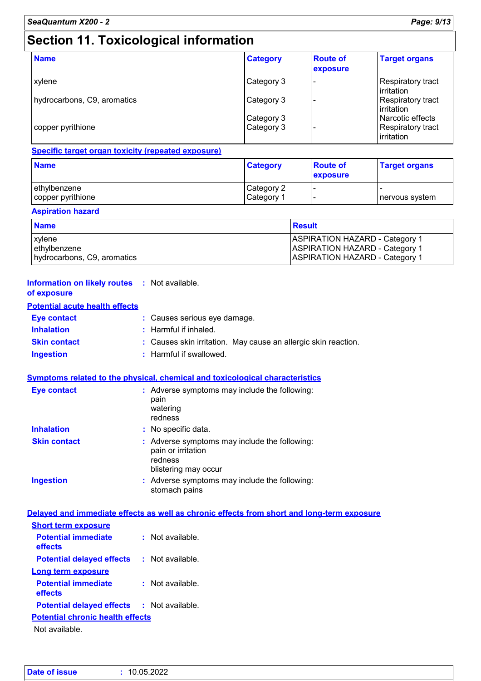### **Section 11. Toxicological information**

| <b>Name</b>                 | <b>Category</b> | <b>Route of</b><br>exposure | <b>Target organs</b>                   |
|-----------------------------|-----------------|-----------------------------|----------------------------------------|
| xylene                      | Category 3      |                             | Respiratory tract<br>irritation        |
| hydrocarbons, C9, aromatics | Category 3      |                             | Respiratory tract<br>irritation        |
|                             | Category 3      |                             | Narcotic effects                       |
| copper pyrithione           | Category 3      |                             | <b>Respiratory tract</b><br>irritation |

#### **Specific target organ toxicity (repeated exposure)**

| <b>Name</b>                       | <b>Category</b>          | <b>Route of</b><br><b>exposure</b> | <b>Target organs</b> |  |
|-----------------------------------|--------------------------|------------------------------------|----------------------|--|
| ethylbenzene<br>copper pyrithione | Category 2<br>Category 1 | . .                                | I nervous system     |  |

#### **Aspiration hazard**

| <b>Name</b>                 | <b>Result</b>                         |
|-----------------------------|---------------------------------------|
| xylene                      | <b>ASPIRATION HAZARD - Category 1</b> |
| ethylbenzene                | <b>ASPIRATION HAZARD - Category 1</b> |
| hydrocarbons, C9, aromatics | <b>ASPIRATION HAZARD - Category 1</b> |

#### **Information on likely routes :** Not available. **of exposure**

#### **Potential acute health effects**

| <b>Eve contact</b>  | : Causes serious eye damage.                                   |
|---------------------|----------------------------------------------------------------|
| <b>Inhalation</b>   | : Harmful if inhaled.                                          |
| <b>Skin contact</b> | : Causes skin irritation. May cause an allergic skin reaction. |
| Ingestion           | : Harmful if swallowed.                                        |

#### **Symptoms related to the physical, chemical and toxicological characteristics**

| <b>Eye contact</b>  | : Adverse symptoms may include the following:<br>pain<br>watering<br>redness                           |
|---------------------|--------------------------------------------------------------------------------------------------------|
| <b>Inhalation</b>   | : No specific data.                                                                                    |
| <b>Skin contact</b> | : Adverse symptoms may include the following:<br>pain or irritation<br>redness<br>blistering may occur |
| <b>Ingestion</b>    | : Adverse symptoms may include the following:<br>stomach pains                                         |

#### **Delayed and immediate effects as well as chronic effects from short and long-term exposure Short term exposure**

| <b>Short term exposure</b>                                                                                              |                       |  |  |  |
|-------------------------------------------------------------------------------------------------------------------------|-----------------------|--|--|--|
| <b>Potential immediate</b><br>effects                                                                                   | Not available<br>× 1  |  |  |  |
| <b>Potential delayed effects</b>                                                                                        | : Not available.      |  |  |  |
| <b>Long term exposure</b>                                                                                               |                       |  |  |  |
| <b>Potential immediate</b><br>effects                                                                                   | Not available.<br>× 1 |  |  |  |
| <b>Potential delayed effects : Not available.</b>                                                                       |                       |  |  |  |
| <b>Potential chronic health effects</b>                                                                                 |                       |  |  |  |
| <b>Allente Street Plants In the Street Street Street Street Street Street Street Street Street Street Street Street</b> |                       |  |  |  |

Not available.

| Date of issue | : 10.05.2022 |
|---------------|--------------|
|               |              |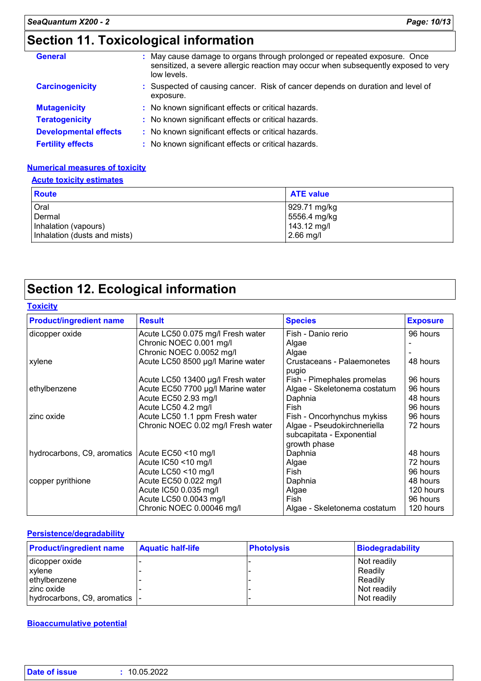### **Section 11. Toxicological information**

| <b>General</b>               | May cause damage to organs through prolonged or repeated exposure. Once<br>sensitized, a severe allergic reaction may occur when subsequently exposed to very<br>low levels. |
|------------------------------|------------------------------------------------------------------------------------------------------------------------------------------------------------------------------|
| <b>Carcinogenicity</b>       | : Suspected of causing cancer. Risk of cancer depends on duration and level of<br>exposure.                                                                                  |
| <b>Mutagenicity</b>          | : No known significant effects or critical hazards.                                                                                                                          |
| <b>Teratogenicity</b>        | : No known significant effects or critical hazards.                                                                                                                          |
| <b>Developmental effects</b> | : No known significant effects or critical hazards.                                                                                                                          |
| <b>Fertility effects</b>     | : No known significant effects or critical hazards.                                                                                                                          |

#### **Numerical measures of toxicity**

#### **Acute toxicity estimates**

| <b>Route</b>                 | <b>ATE value</b> |
|------------------------------|------------------|
| Oral                         | 929.71 mg/kg     |
| Dermal                       | 5556.4 mg/kg     |
| Inhalation (vapours)         | 143.12 mg/l      |
| Inhalation (dusts and mists) | $2.66$ mg/l      |

### **Section 12. Ecological information**

#### **Toxicity**

| <b>Product/ingredient name</b> | <b>Result</b>                      | <b>Species</b>                      | <b>Exposure</b> |
|--------------------------------|------------------------------------|-------------------------------------|-----------------|
| dicopper oxide                 | Acute LC50 0.075 mg/l Fresh water  | Fish - Danio rerio                  | 96 hours        |
|                                | Chronic NOEC 0.001 mg/l            | Algae                               |                 |
|                                | Chronic NOEC 0.0052 mg/l           | Algae                               |                 |
| xylene                         | Acute LC50 8500 µg/l Marine water  | Crustaceans - Palaemonetes<br>pugio | 48 hours        |
|                                | Acute LC50 13400 µg/l Fresh water  | Fish - Pimephales promelas          | 96 hours        |
| ethylbenzene                   | Acute EC50 7700 µg/l Marine water  | Algae - Skeletonema costatum        | 96 hours        |
|                                | Acute EC50 2.93 mg/l               | Daphnia                             | 48 hours        |
|                                | Acute LC50 4.2 mg/l                | Fish                                | 96 hours        |
| zinc oxide                     | Acute LC50 1.1 ppm Fresh water     | Fish - Oncorhynchus mykiss          | 96 hours        |
|                                | Chronic NOEC 0.02 mg/l Fresh water | Algae - Pseudokirchneriella         | 72 hours        |
|                                |                                    | subcapitata - Exponential           |                 |
|                                |                                    | growth phase                        |                 |
| hydrocarbons, C9, aromatics    | Acute EC50 <10 mg/l                | Daphnia                             | 48 hours        |
|                                | Acute IC50 <10 mg/l                | Algae                               | 72 hours        |
|                                | Acute LC50 <10 mg/l                | Fish                                | 96 hours        |
| copper pyrithione              | Acute EC50 0.022 mg/l              | Daphnia                             | 48 hours        |
|                                | Acute IC50 0.035 mg/l              | Algae                               | 120 hours       |
|                                | Acute LC50 0.0043 mg/l             | Fish                                | 96 hours        |
|                                | Chronic NOEC 0.00046 mg/l          | Algae - Skeletonema costatum        | 120 hours       |

#### **Persistence/degradability**

| <b>Product/ingredient name</b> | <b>Aquatic half-life</b> | <b>Photolysis</b> | Biodegradability |
|--------------------------------|--------------------------|-------------------|------------------|
| dicopper oxide                 |                          |                   | Not readily      |
| xylene                         |                          |                   | Readily          |
| ethylbenzene                   |                          |                   | Readily          |
| zinc oxide                     |                          |                   | Not readily      |
| hydrocarbons, C9, aromatics  - |                          |                   | Not readily      |

#### **Bioaccumulative potential**

| <b>Date of issue</b> | 10.05.2022 |
|----------------------|------------|
|                      |            |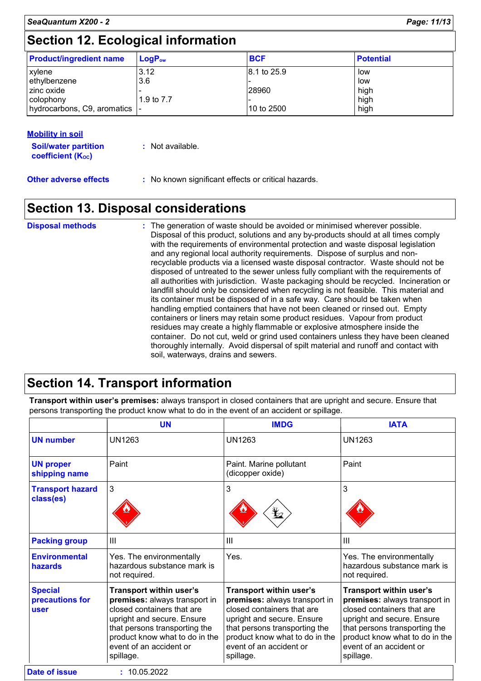### **Section 12. Ecological information**

| <b>Product/ingredient name</b> | $\mathsf{LogP}_\mathsf{ow}$ | <b>BCF</b>  | <b>Potential</b> |
|--------------------------------|-----------------------------|-------------|------------------|
| xylene                         | 3.12                        | 8.1 to 25.9 | low              |
| ethylbenzene                   | 3.6                         |             | low              |
| zinc oxide                     |                             | 28960       | high             |
| colophony                      | 1.9 to 7.7                  |             | high             |
| hydrocarbons, C9, aromatics    |                             | 10 to 2500  | high             |

#### **Mobility in soil**

| <b>Soil/water partition</b><br>coefficient (K <sub>oc</sub> ) | : Not available.                                    |
|---------------------------------------------------------------|-----------------------------------------------------|
| <b>Other adverse effects</b>                                  | : No known significant effects or critical hazards. |

### **Section 13. Disposal considerations**

| <b>Disposal methods</b> | : The generation of waste should be avoided or minimised wherever possible.<br>Disposal of this product, solutions and any by-products should at all times comply<br>with the requirements of environmental protection and waste disposal legislation<br>and any regional local authority requirements. Dispose of surplus and non-<br>recyclable products via a licensed waste disposal contractor. Waste should not be<br>disposed of untreated to the sewer unless fully compliant with the requirements of<br>all authorities with jurisdiction. Waste packaging should be recycled. Incineration or<br>landfill should only be considered when recycling is not feasible. This material and<br>its container must be disposed of in a safe way. Care should be taken when<br>handling emptied containers that have not been cleaned or rinsed out. Empty<br>containers or liners may retain some product residues. Vapour from product<br>residues may create a highly flammable or explosive atmosphere inside the<br>container. Do not cut, weld or grind used containers unless they have been cleaned<br>thoroughly internally. Avoid dispersal of spilt material and runoff and contact with |
|-------------------------|--------------------------------------------------------------------------------------------------------------------------------------------------------------------------------------------------------------------------------------------------------------------------------------------------------------------------------------------------------------------------------------------------------------------------------------------------------------------------------------------------------------------------------------------------------------------------------------------------------------------------------------------------------------------------------------------------------------------------------------------------------------------------------------------------------------------------------------------------------------------------------------------------------------------------------------------------------------------------------------------------------------------------------------------------------------------------------------------------------------------------------------------------------------------------------------------------------|
|                         | soil, waterways, drains and sewers.                                                                                                                                                                                                                                                                                                                                                                                                                                                                                                                                                                                                                                                                                                                                                                                                                                                                                                                                                                                                                                                                                                                                                                    |

### **Section 14. Transport information**

**Transport within user's premises:** always transport in closed containers that are upright and secure. Ensure that persons transporting the product know what to do in the event of an accident or spillage.

|                                           | <b>UN</b>                                                                                                                                                                                                                       | <b>IMDG</b>                                                                                                                                                                                                                     | <b>IATA</b>                                                                                                                                                                                                                            |
|-------------------------------------------|---------------------------------------------------------------------------------------------------------------------------------------------------------------------------------------------------------------------------------|---------------------------------------------------------------------------------------------------------------------------------------------------------------------------------------------------------------------------------|----------------------------------------------------------------------------------------------------------------------------------------------------------------------------------------------------------------------------------------|
| <b>UN number</b>                          | <b>UN1263</b>                                                                                                                                                                                                                   | <b>UN1263</b>                                                                                                                                                                                                                   | <b>UN1263</b>                                                                                                                                                                                                                          |
| <b>UN proper</b><br>shipping name         | Paint                                                                                                                                                                                                                           | Paint. Marine pollutant<br>(dicopper oxide)                                                                                                                                                                                     | Paint                                                                                                                                                                                                                                  |
| <b>Transport hazard</b><br>class(es)      | 3                                                                                                                                                                                                                               | 3<br>⊻∠                                                                                                                                                                                                                         | 3                                                                                                                                                                                                                                      |
| <b>Packing group</b>                      | $\mathbf{III}$                                                                                                                                                                                                                  | III                                                                                                                                                                                                                             | III                                                                                                                                                                                                                                    |
| <b>Environmental</b><br>hazards           | Yes. The environmentally<br>hazardous substance mark is<br>not required.                                                                                                                                                        | Yes.                                                                                                                                                                                                                            | Yes. The environmentally<br>hazardous substance mark is<br>not required.                                                                                                                                                               |
| <b>Special</b><br>precautions for<br>user | Transport within user's<br>premises: always transport in<br>closed containers that are<br>upright and secure. Ensure<br>that persons transporting the<br>product know what to do in the<br>event of an accident or<br>spillage. | Transport within user's<br>premises: always transport in<br>closed containers that are<br>upright and secure. Ensure<br>that persons transporting the<br>product know what to do in the<br>event of an accident or<br>spillage. | <b>Transport within user's</b><br>premises: always transport in<br>closed containers that are<br>upright and secure. Ensure<br>that persons transporting the<br>product know what to do in the<br>event of an accident or<br>spillage. |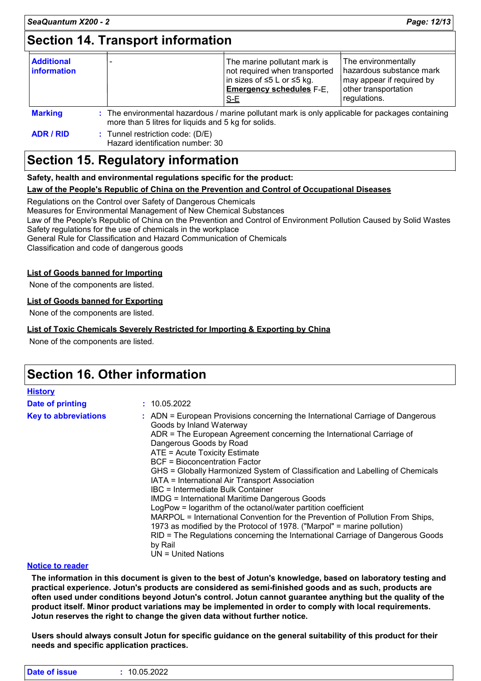### **Section 14. Transport information**

| <b>Additional</b><br><b>information</b> |                                                                                                                                                         | The marine pollutant mark is<br>not required when transported<br> in sizes of ≤5 L or ≤5 kg.<br><b>Emergency schedules F-E,</b><br><u>S-E</u> | The environmentally<br>hazardous substance mark<br>may appear if required by<br>other transportation<br>regulations. |
|-----------------------------------------|---------------------------------------------------------------------------------------------------------------------------------------------------------|-----------------------------------------------------------------------------------------------------------------------------------------------|----------------------------------------------------------------------------------------------------------------------|
| <b>Marking</b>                          | : The environmental hazardous / marine pollutant mark is only applicable for packages containing<br>more than 5 litres for liquids and 5 kg for solids. |                                                                                                                                               |                                                                                                                      |

**ADR / RID :** Tunnel restriction code: (D/E) Hazard identification number: 30

### **Section 15. Regulatory information**

**Safety, health and environmental regulations specific for the product:**

#### **Law of the People's Republic of China on the Prevention and Control of Occupational Diseases**

Regulations on the Control over Safety of Dangerous Chemicals Measures for Environmental Management of New Chemical Substances Law of the People's Republic of China on the Prevention and Control of Environment Pollution Caused by Solid Wastes Safety regulations for the use of chemicals in the workplace General Rule for Classification and Hazard Communication of Chemicals

Classification and code of dangerous goods

#### **List of Goods banned for Importing**

None of the components are listed.

#### **List of Goods banned for Exporting**

None of the components are listed.

#### **List of Toxic Chemicals Severely Restricted for Importing & Exporting by China**

None of the components are listed.

### **Section 16. Other information**

| <b>History</b>              |                                                                                                                                                                                                                                                                                                                                                                                                                                                                                                                                                                                                                                                                                                                                                                                                                                                                            |
|-----------------------------|----------------------------------------------------------------------------------------------------------------------------------------------------------------------------------------------------------------------------------------------------------------------------------------------------------------------------------------------------------------------------------------------------------------------------------------------------------------------------------------------------------------------------------------------------------------------------------------------------------------------------------------------------------------------------------------------------------------------------------------------------------------------------------------------------------------------------------------------------------------------------|
| Date of printing            | : 10.05.2022                                                                                                                                                                                                                                                                                                                                                                                                                                                                                                                                                                                                                                                                                                                                                                                                                                                               |
| <b>Key to abbreviations</b> | : ADN = European Provisions concerning the International Carriage of Dangerous<br>Goods by Inland Waterway<br>ADR = The European Agreement concerning the International Carriage of<br>Dangerous Goods by Road<br>ATE = Acute Toxicity Estimate<br><b>BCF</b> = Bioconcentration Factor<br>GHS = Globally Harmonized System of Classification and Labelling of Chemicals<br>IATA = International Air Transport Association<br>IBC = Intermediate Bulk Container<br><b>IMDG = International Maritime Dangerous Goods</b><br>LogPow = logarithm of the octanol/water partition coefficient<br>MARPOL = International Convention for the Prevention of Pollution From Ships,<br>1973 as modified by the Protocol of 1978. ("Marpol" = marine pollution)<br>RID = The Regulations concerning the International Carriage of Dangerous Goods<br>by Rail<br>$UN = United Nations$ |

#### **Notice to reader**

**The information in this document is given to the best of Jotun's knowledge, based on laboratory testing and practical experience. Jotun's products are considered as semi-finished goods and as such, products are often used under conditions beyond Jotun's control. Jotun cannot guarantee anything but the quality of the product itself. Minor product variations may be implemented in order to comply with local requirements. Jotun reserves the right to change the given data without further notice.**

**Users should always consult Jotun for specific guidance on the general suitability of this product for their needs and specific application practices.**

| <b>Date</b><br>sue<br>. | 10.05.2022 |
|-------------------------|------------|
|                         |            |